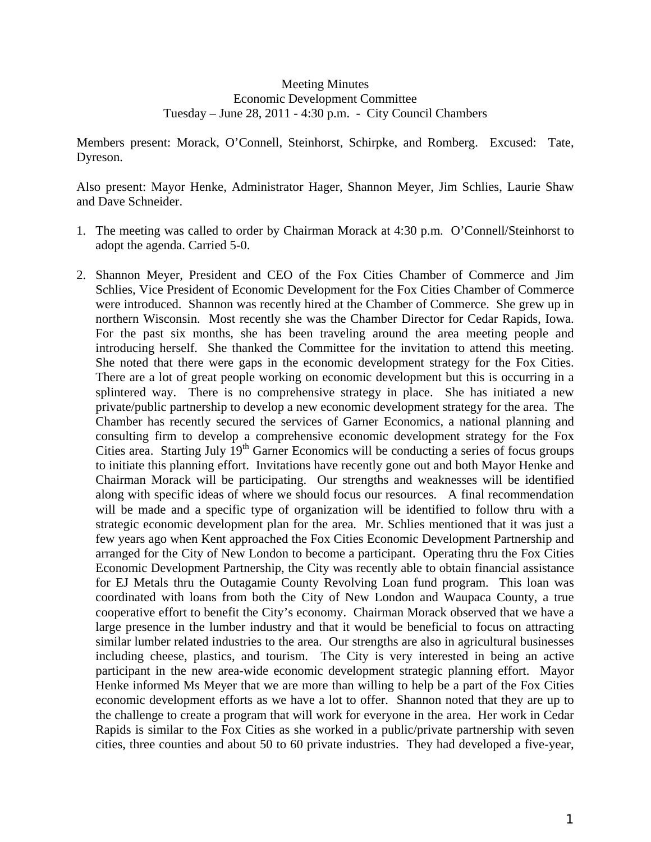## Meeting Minutes Economic Development Committee Tuesday – June 28, 2011 - 4:30 p.m. - City Council Chambers

Members present: Morack, O'Connell, Steinhorst, Schirpke, and Romberg. Excused: Tate, Dyreson.

Also present: Mayor Henke, Administrator Hager, Shannon Meyer, Jim Schlies, Laurie Shaw and Dave Schneider.

- 1. The meeting was called to order by Chairman Morack at 4:30 p.m. O'Connell/Steinhorst to adopt the agenda. Carried 5-0.
- 2. Shannon Meyer, President and CEO of the Fox Cities Chamber of Commerce and Jim Schlies, Vice President of Economic Development for the Fox Cities Chamber of Commerce were introduced. Shannon was recently hired at the Chamber of Commerce. She grew up in northern Wisconsin. Most recently she was the Chamber Director for Cedar Rapids, Iowa. For the past six months, she has been traveling around the area meeting people and introducing herself. She thanked the Committee for the invitation to attend this meeting. She noted that there were gaps in the economic development strategy for the Fox Cities. There are a lot of great people working on economic development but this is occurring in a splintered way. There is no comprehensive strategy in place. She has initiated a new private/public partnership to develop a new economic development strategy for the area. The Chamber has recently secured the services of Garner Economics, a national planning and consulting firm to develop a comprehensive economic development strategy for the Fox Cities area. Starting July 19<sup>th</sup> Garner Economics will be conducting a series of focus groups to initiate this planning effort. Invitations have recently gone out and both Mayor Henke and Chairman Morack will be participating. Our strengths and weaknesses will be identified along with specific ideas of where we should focus our resources. A final recommendation will be made and a specific type of organization will be identified to follow thru with a strategic economic development plan for the area. Mr. Schlies mentioned that it was just a few years ago when Kent approached the Fox Cities Economic Development Partnership and arranged for the City of New London to become a participant. Operating thru the Fox Cities Economic Development Partnership, the City was recently able to obtain financial assistance for EJ Metals thru the Outagamie County Revolving Loan fund program. This loan was coordinated with loans from both the City of New London and Waupaca County, a true cooperative effort to benefit the City's economy. Chairman Morack observed that we have a large presence in the lumber industry and that it would be beneficial to focus on attracting similar lumber related industries to the area. Our strengths are also in agricultural businesses including cheese, plastics, and tourism. The City is very interested in being an active participant in the new area-wide economic development strategic planning effort. Mayor Henke informed Ms Meyer that we are more than willing to help be a part of the Fox Cities economic development efforts as we have a lot to offer. Shannon noted that they are up to the challenge to create a program that will work for everyone in the area. Her work in Cedar Rapids is similar to the Fox Cities as she worked in a public/private partnership with seven cities, three counties and about 50 to 60 private industries. They had developed a five-year,